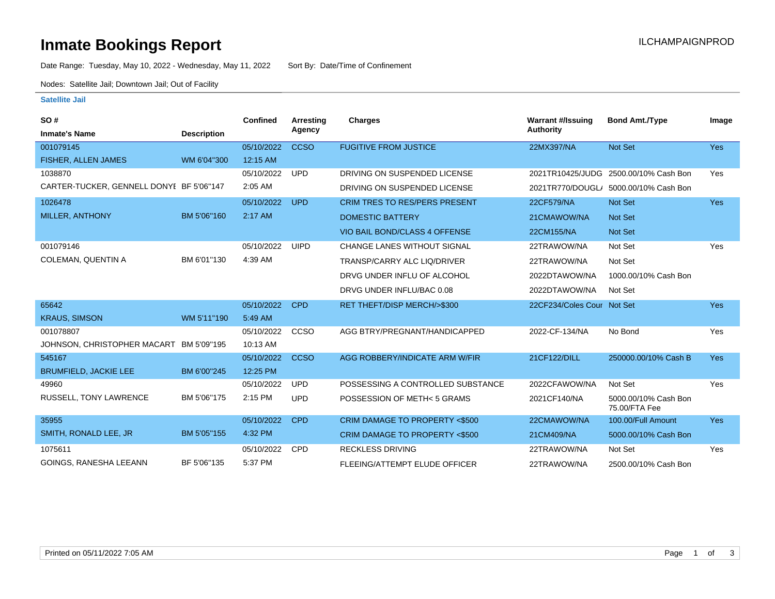### **Inmate Bookings Report International Contract Contract Contract Contract Contract Contract Contract Contract Contract Contract Contract Contract Contract Contract Contract Contract Contract Contract Contract Contract Co**

Date Range: Tuesday, May 10, 2022 - Wednesday, May 11, 2022 Sort By: Date/Time of Confinement

Nodes: Satellite Jail; Downtown Jail; Out of Facility

#### **Satellite Jail**

| SO#                                      |                    | Confined   | Arresting   | Charges                              | <b>Warrant #/Issuing</b>   | <b>Bond Amt./Type</b>                 | Image      |
|------------------------------------------|--------------------|------------|-------------|--------------------------------------|----------------------------|---------------------------------------|------------|
| <b>Inmate's Name</b>                     | <b>Description</b> |            | Agency      |                                      | <b>Authority</b>           |                                       |            |
| 001079145                                |                    | 05/10/2022 | <b>CCSO</b> | <b>FUGITIVE FROM JUSTICE</b>         | 22MX397/NA                 | <b>Not Set</b>                        | <b>Yes</b> |
| FISHER, ALLEN JAMES                      | WM 6'04"300        | 12:15 AM   |             |                                      |                            |                                       |            |
| 1038870                                  |                    | 05/10/2022 | <b>UPD</b>  | DRIVING ON SUSPENDED LICENSE         | 2021TR10425/JUDG           | 2500.00/10% Cash Bon                  | Yes        |
| CARTER-TUCKER, GENNELL DONYI BF 5'06"147 |                    | 2:05 AM    |             | DRIVING ON SUSPENDED LICENSE         |                            | 2021TR770/DOUGL/ 5000.00/10% Cash Bon |            |
| 1026478                                  |                    | 05/10/2022 | <b>UPD</b>  | <b>CRIM TRES TO RES/PERS PRESENT</b> | 22CF579/NA                 | <b>Not Set</b>                        | <b>Yes</b> |
| MILLER, ANTHONY                          | BM 5'06"160        | 2:17 AM    |             | <b>DOMESTIC BATTERY</b>              | 21CMAWOW/NA                | <b>Not Set</b>                        |            |
|                                          |                    |            |             | VIO BAIL BOND/CLASS 4 OFFENSE        | 22CM155/NA                 | <b>Not Set</b>                        |            |
| 001079146                                |                    | 05/10/2022 | <b>UIPD</b> | <b>CHANGE LANES WITHOUT SIGNAL</b>   | 22TRAWOW/NA                | Not Set                               | Yes        |
| <b>COLEMAN, QUENTIN A</b>                | BM 6'01"130        | 4:39 AM    |             | TRANSP/CARRY ALC LIQ/DRIVER          | 22TRAWOW/NA                | Not Set                               |            |
|                                          |                    |            |             | DRVG UNDER INFLU OF ALCOHOL          | 2022DTAWOW/NA              | 1000.00/10% Cash Bon                  |            |
|                                          |                    |            |             | DRVG UNDER INFLU/BAC 0.08            | 2022DTAWOW/NA              | Not Set                               |            |
| 65642                                    |                    | 05/10/2022 | <b>CPD</b>  | RET THEFT/DISP MERCH/>\$300          | 22CF234/Coles Cour Not Set |                                       | <b>Yes</b> |
| <b>KRAUS, SIMSON</b>                     | WM 5'11"190        | 5:49 AM    |             |                                      |                            |                                       |            |
| 001078807                                |                    | 05/10/2022 | CCSO        | AGG BTRY/PREGNANT/HANDICAPPED        | 2022-CF-134/NA             | No Bond                               | Yes        |
| JOHNSON, CHRISTOPHER MACART BM 5'09"195  |                    | 10:13 AM   |             |                                      |                            |                                       |            |
| 545167                                   |                    | 05/10/2022 | <b>CCSO</b> | AGG ROBBERY/INDICATE ARM W/FIR       | 21CF122/DILL               | 250000.00/10% Cash B                  | <b>Yes</b> |
| <b>BRUMFIELD, JACKIE LEE</b>             | BM 6'00"245        | 12:25 PM   |             |                                      |                            |                                       |            |
| 49960                                    |                    | 05/10/2022 | <b>UPD</b>  | POSSESSING A CONTROLLED SUBSTANCE    | 2022CFAWOW/NA              | Not Set                               | Yes        |
| RUSSELL, TONY LAWRENCE                   | BM 5'06"175        | 2:15 PM    | <b>UPD</b>  | POSSESSION OF METH< 5 GRAMS          | 2021CF140/NA               | 5000.00/10% Cash Bon<br>75.00/FTA Fee |            |
| 35955                                    |                    | 05/10/2022 | <b>CPD</b>  | CRIM DAMAGE TO PROPERTY <\$500       | 22CMAWOW/NA                | 100.00/Full Amount                    | <b>Yes</b> |
| SMITH, RONALD LEE, JR                    | BM 5'05"155        | 4:32 PM    |             | CRIM DAMAGE TO PROPERTY <\$500       | 21CM409/NA                 | 5000.00/10% Cash Bon                  |            |
| 1075611                                  |                    | 05/10/2022 | <b>CPD</b>  | <b>RECKLESS DRIVING</b>              | 22TRAWOW/NA                | Not Set                               | Yes        |
| GOINGS, RANESHA LEEANN                   | BF 5'06"135        | 5:37 PM    |             | FLEEING/ATTEMPT ELUDE OFFICER        | 22TRAWOW/NA                | 2500.00/10% Cash Bon                  |            |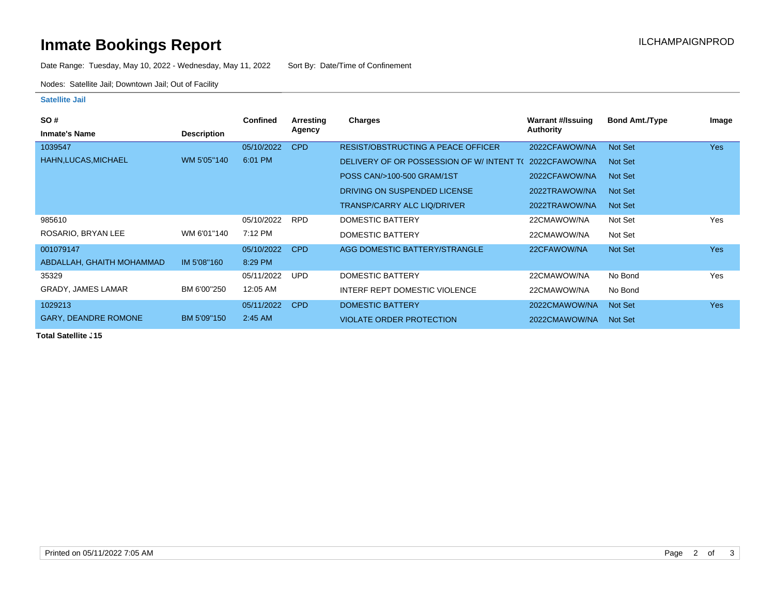# **Inmate Bookings Report Installation Control Control Control Control Control Control Control Control Control Control Control Control Control Control Control Control Control Control Control Control Control Control Control**

Date Range: Tuesday, May 10, 2022 - Wednesday, May 11, 2022 Sort By: Date/Time of Confinement

Nodes: Satellite Jail; Downtown Jail; Out of Facility

#### **Satellite Jail**

| SO#                         |                    | <b>Confined</b> | Arresting  | <b>Charges</b>                           | Warrant #/Issuing | <b>Bond Amt./Type</b> | Image      |
|-----------------------------|--------------------|-----------------|------------|------------------------------------------|-------------------|-----------------------|------------|
| <b>Inmate's Name</b>        | <b>Description</b> |                 | Agency     |                                          | Authority         |                       |            |
| 1039547                     |                    | 05/10/2022      | CPD        | RESIST/OBSTRUCTING A PEACE OFFICER       | 2022CFAWOW/NA     | Not Set               | <b>Yes</b> |
| HAHN, LUCAS, MICHAEL        | WM 5'05"140        | 6:01 PM         |            | DELIVERY OF OR POSSESSION OF W/INTENT TO | 2022CFAWOW/NA     | Not Set               |            |
|                             |                    |                 |            | POSS CAN/>100-500 GRAM/1ST               | 2022CFAWOW/NA     | Not Set               |            |
|                             |                    |                 |            | DRIVING ON SUSPENDED LICENSE             | 2022TRAWOW/NA     | Not Set               |            |
|                             |                    |                 |            | <b>TRANSP/CARRY ALC LIQ/DRIVER</b>       | 2022TRAWOW/NA     | Not Set               |            |
| 985610                      |                    | 05/10/2022      | <b>RPD</b> | DOMESTIC BATTERY                         | 22CMAWOW/NA       | Not Set               | Yes        |
| ROSARIO, BRYAN LEE          | WM 6'01"140        | 7:12 PM         |            | DOMESTIC BATTERY                         | 22CMAWOW/NA       | Not Set               |            |
| 001079147                   |                    | 05/10/2022      | <b>CPD</b> | AGG DOMESTIC BATTERY/STRANGLE            | 22CFAWOW/NA       | Not Set               | <b>Yes</b> |
| ABDALLAH, GHAITH MOHAMMAD   | IM 5'08"160        | 8:29 PM         |            |                                          |                   |                       |            |
| 35329                       |                    | 05/11/2022      | <b>UPD</b> | DOMESTIC BATTERY                         | 22CMAWOW/NA       | No Bond               | Yes        |
| <b>GRADY, JAMES LAMAR</b>   | BM 6'00"250        | 12:05 AM        |            | INTERF REPT DOMESTIC VIOLENCE            | 22CMAWOW/NA       | No Bond               |            |
| 1029213                     |                    | 05/11/2022      | <b>CPD</b> | DOMESTIC BATTERY                         | 2022CMAWOW/NA     | Not Set               | <b>Yes</b> |
| <b>GARY, DEANDRE ROMONE</b> | BM 5'09"150        | 2:45 AM         |            | <b>VIOLATE ORDER PROTECTION</b>          | 2022CMAWOW/NA     | Not Set               |            |

**Total Satellite . 15**